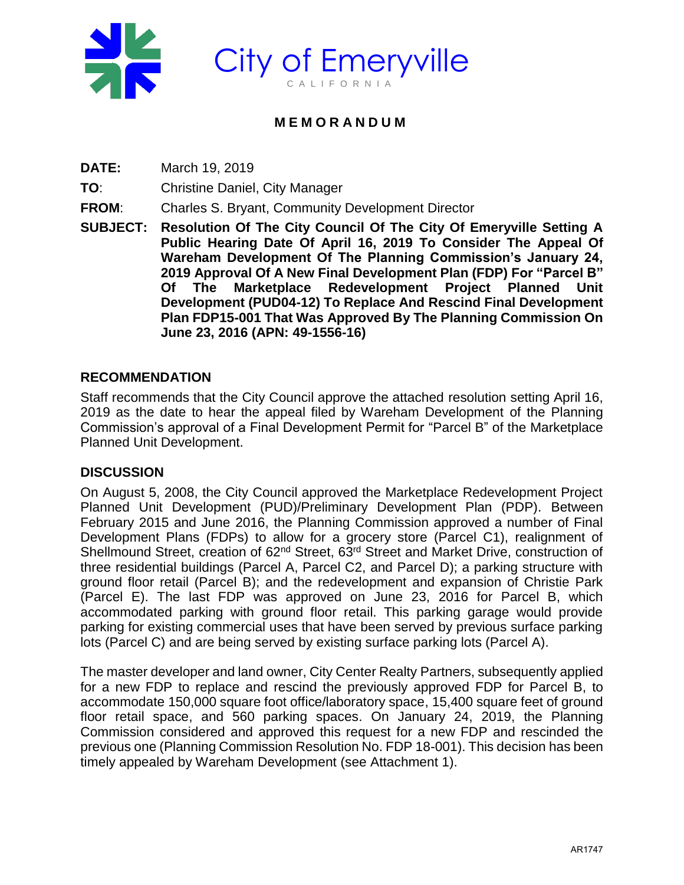

# **M E M O R A N D U M**

**DATE:** March 19, 2019

**TO**: Christine Daniel, City Manager

**FROM**: Charles S. Bryant, Community Development Director

**SUBJECT: Resolution Of The City Council Of The City Of Emeryville Setting A Public Hearing Date Of April 16, 2019 To Consider The Appeal Of Wareham Development Of The Planning Commission's January 24, 2019 Approval Of A New Final Development Plan (FDP) For "Parcel B" Of The Marketplace Redevelopment Project Planned Unit Development (PUD04-12) To Replace And Rescind Final Development Plan FDP15-001 That Was Approved By The Planning Commission On June 23, 2016 (APN: 49-1556-16)**

## **RECOMMENDATION**

Staff recommends that the City Council approve the attached resolution setting April 16, 2019 as the date to hear the appeal filed by Wareham Development of the Planning Commission's approval of a Final Development Permit for "Parcel B" of the Marketplace Planned Unit Development.

### **DISCUSSION**

On August 5, 2008, the City Council approved the Marketplace Redevelopment Project Planned Unit Development (PUD)/Preliminary Development Plan (PDP). Between February 2015 and June 2016, the Planning Commission approved a number of Final Development Plans (FDPs) to allow for a grocery store (Parcel C1), realignment of Shellmound Street, creation of 62<sup>nd</sup> Street, 63<sup>rd</sup> Street and Market Drive, construction of three residential buildings (Parcel A, Parcel C2, and Parcel D); a parking structure with ground floor retail (Parcel B); and the redevelopment and expansion of Christie Park (Parcel E). The last FDP was approved on June 23, 2016 for Parcel B, which accommodated parking with ground floor retail. This parking garage would provide parking for existing commercial uses that have been served by previous surface parking lots (Parcel C) and are being served by existing surface parking lots (Parcel A).

The master developer and land owner, City Center Realty Partners, subsequently applied for a new FDP to replace and rescind the previously approved FDP for Parcel B, to accommodate 150,000 square foot office/laboratory space, 15,400 square feet of ground floor retail space, and 560 parking spaces. On January 24, 2019, the Planning Commission considered and approved this request for a new FDP and rescinded the previous one (Planning Commission Resolution No. FDP 18-001). This decision has been timely appealed by Wareham Development (see Attachment 1).